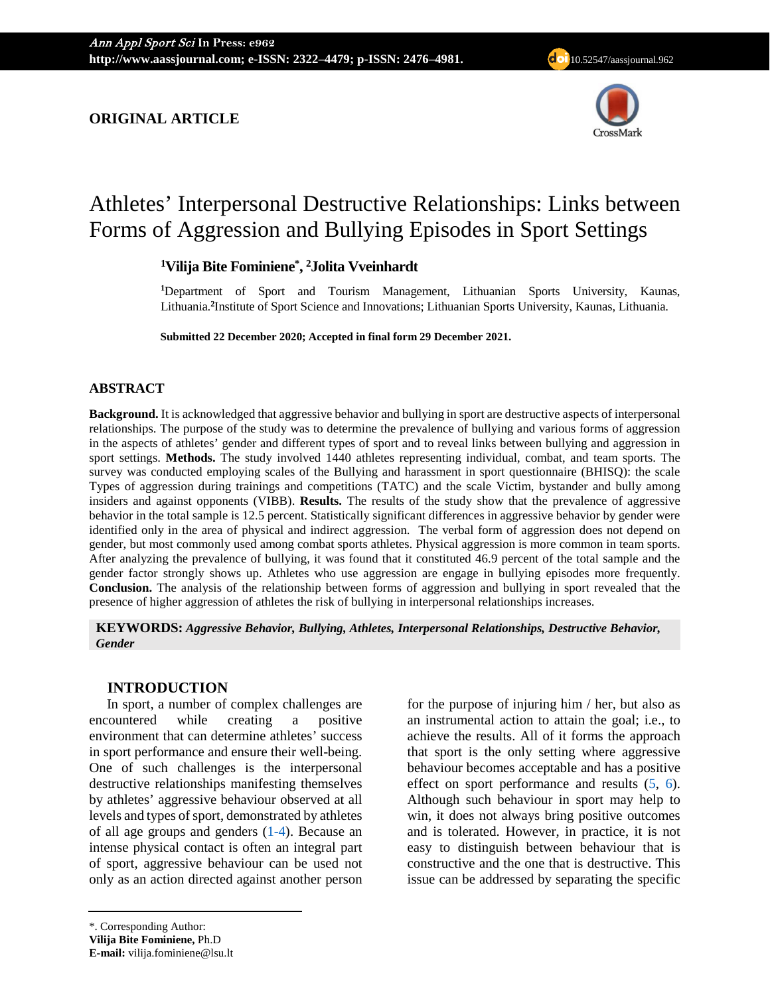**ORIGINAL ARTICLE**



# Athletes' Interpersonal Destructive Relationships: Links between Forms of Aggression and Bullying Episodes in Sport Settings

**1 Vilija Bite Fominiene\* , 2 Jolita Vveinhardt**

**1** Department of Sport and Tourism Management, Lithuanian Sports University, Kaunas, Lithuania.<sup>2</sup>Institute of Sport Science and Innovations; Lithuanian Sports University, Kaunas, Lithuania.

**Submitted 22 December 2020; Accepted in final form 29 December 2021.**

# **ABSTRACT**

**Background.** It is acknowledged that aggressive behavior and bullying in sport are destructive aspects of interpersonal relationships. The purpose of the study was to determine the prevalence of bullying and various forms of aggression in the aspects of athletes' gender and different types of sport and to reveal links between bullying and aggression in sport settings. **Methods.** The study involved 1440 athletes representing individual, combat, and team sports. The survey was conducted employing scales of the Bullying and harassment in sport questionnaire (BHISQ): the scale Types of aggression during trainings and competitions (TATC) and the scale Victim, bystander and bully among insiders and against opponents (VIBB). **Results.** The results of the study show that the prevalence of aggressive behavior in the total sample is 12.5 percent. Statistically significant differences in aggressive behavior by gender were identified only in the area of physical and indirect aggression. The verbal form of aggression does not depend on gender, but most commonly used among combat sports athletes. Physical aggression is more common in team sports. After analyzing the prevalence of bullying, it was found that it constituted 46.9 percent of the total sample and the gender factor strongly shows up. Athletes who use aggression are engage in bullying episodes more frequently. **Conclusion.** The analysis of the relationship between forms of aggression and bullying in sport revealed that the presence of higher aggression of athletes the risk of bullying in interpersonal relationships increases.

**KEYWORDS:** *Aggressive Behavior, Bullying, Athletes, Interpersonal Relationships, Destructive Behavior, Gender*

# **INTRODUCTION**

In sport, a number of complex challenges are encountered while creating a positive environment that can determine athletes' success in sport performance and ensure their well-being. One of such challenges is the interpersonal destructive relationships manifesting themselves by athletes' aggressive behaviour observed at all levels and types of sport, demonstrated by athletes of all age groups and genders [\(1-4\)](#page-7-0). Because an intense physical contact is often an integral part of sport, aggressive behaviour can be used not only as an action directed against another person

for the purpose of injuring him / her, but also as an instrumental action to attain the goal; i.e., to achieve the results. All of it forms the approach that sport is the only setting where aggressive behaviour becomes acceptable and has a positive effect on sport performance and results [\(5,](#page-7-1) [6\)](#page-7-2). Although such behaviour in sport may help to win, it does not always bring positive outcomes and is tolerated. However, in practice, it is not easy to distinguish between behaviour that is constructive and the one that is destructive. This issue can be addressed by separating the specific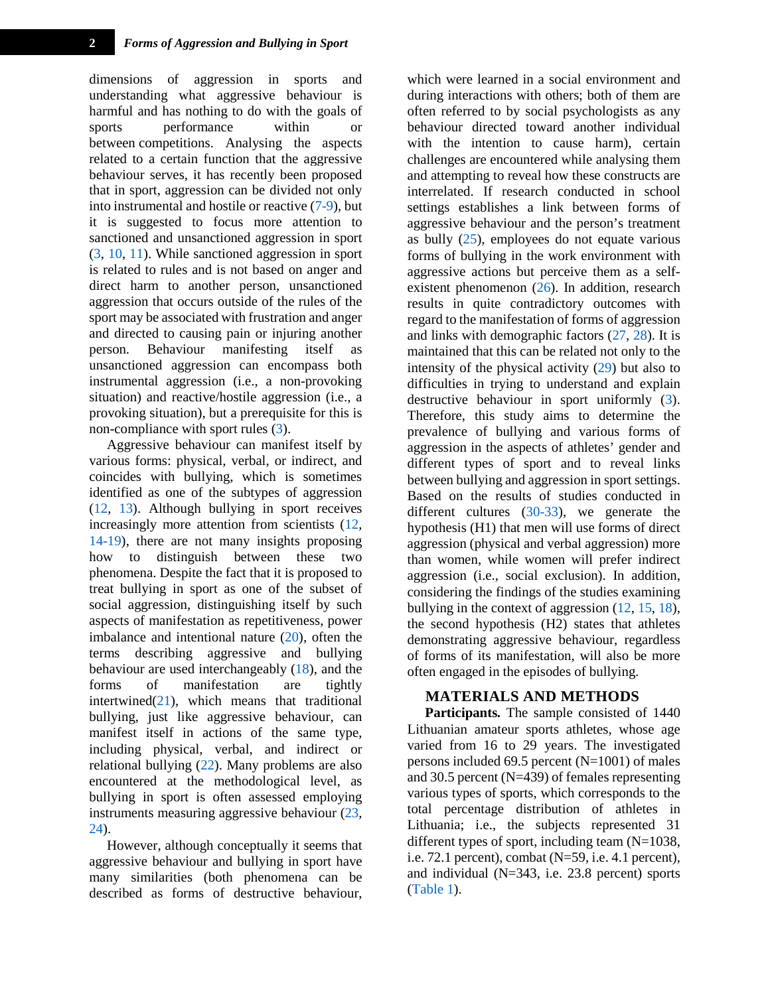dimensions of aggression in sports and understanding what aggressive behaviour is harmful and has nothing to do with the goals of sports performance within or between competitions. Analysing the aspects related to a certain function that the aggressive behaviour serves, it has recently been proposed that in sport, aggression can be divided not only into instrumental and hostile or reactive [\(7-9\)](#page-7-3), but it is suggested to focus more attention to sanctioned and unsanctioned aggression in sport [\(3,](#page-7-4) [10,](#page-7-5) [11\)](#page-7-6). While sanctioned aggression in sport is related to rules and is not based on anger and direct harm to another person, unsanctioned aggression that occurs outside of the rules of the sport may be associated with frustration and anger and directed to causing pain or injuring another person. Behaviour manifesting itself as unsanctioned aggression can encompass both instrumental aggression (i.e., a non-provoking situation) and reactive/hostile aggression (i.e., a provoking situation), but a prerequisite for this is non-compliance with sport rules [\(3\)](#page-7-4).

Aggressive behaviour can manifest itself by various forms: physical, verbal, or indirect, and coincides with bullying, which is sometimes identified as one of the subtypes of aggression [\(12,](#page-7-7) [13\)](#page-7-8). Although bullying in sport receives increasingly more attention from scientists [\(12,](#page-7-7)  [14-19\)](#page-7-9), there are not many insights proposing how to distinguish between these two phenomena. Despite the fact that it is proposed to treat bullying in sport as one of the subset of social aggression, distinguishing itself by such aspects of manifestation as repetitiveness, power imbalance and intentional nature [\(20\)](#page-7-10), often the terms describing aggressive and bullying behaviour are used interchangeably [\(18\)](#page-7-11), and the forms of manifestation are tightly intertwined $(21)$ , which means that traditional bullying, just like aggressive behaviour, can manifest itself in actions of the same type, including physical, verbal, and indirect or relational bullying [\(22\)](#page-8-0). Many problems are also encountered at the methodological level, as bullying in sport is often assessed employing instruments measuring aggressive behaviour [\(23,](#page-8-1)  [24\)](#page-8-2).

However, although conceptually it seems that aggressive behaviour and bullying in sport have many similarities (both phenomena can be described as forms of destructive behaviour,

which were learned in a social environment and during interactions with others; both of them are often referred to by social psychologists as any behaviour directed toward another individual with the intention to cause harm), certain challenges are encountered while analysing them and attempting to reveal how these constructs are interrelated. If research conducted in school settings establishes a link between forms of aggressive behaviour and the person's treatment as bully [\(25\)](#page-8-3), employees do not equate various forms of bullying in the work environment with aggressive actions but perceive them as a selfexistent phenomenon [\(26\)](#page-8-4). In addition, research results in quite contradictory outcomes with regard to the manifestation of forms of aggression and links with demographic factors [\(27,](#page-8-5) [28\)](#page-8-6). It is maintained that this can be related not only to the intensity of the physical activity [\(29\)](#page-8-7) but also to difficulties in trying to understand and explain destructive behaviour in sport uniformly [\(3\)](#page-7-4). Therefore, this study aims to determine the prevalence of bullying and various forms of aggression in the aspects of athletes' gender and different types of sport and to reveal links between bullying and aggression in sport settings. Based on the results of studies conducted in different cultures [\(30-33\)](#page-8-8), we generate the hypothesis (H1) that men will use forms of direct aggression (physical and verbal aggression) more than women, while women will prefer indirect aggression (i.e., social exclusion). In addition, considering the findings of the studies examining bullying in the context of aggression [\(12,](#page-7-7) [15,](#page-7-13) [18\)](#page-7-11), the second hypothesis (H2) states that athletes demonstrating aggressive behaviour, regardless of forms of its manifestation, will also be more often engaged in the episodes of bullying.

#### **MATERIALS AND METHODS**

**Participants***.* The sample consisted of 1440 Lithuanian amateur sports athletes, whose age varied from 16 to 29 years. The investigated persons included 69.5 percent (N=1001) of males and 30.5 percent (N=439) of females representing various types of sports, which corresponds to the total percentage distribution of athletes in Lithuania; i.e., the subjects represented 31 different types of sport, including team (N=1038, i.e. 72.1 percent), combat (N=59, i.e. 4.1 percent), and individual (N=343, i.e. 23.8 percent) sports [\(Table 1\)](#page-2-0).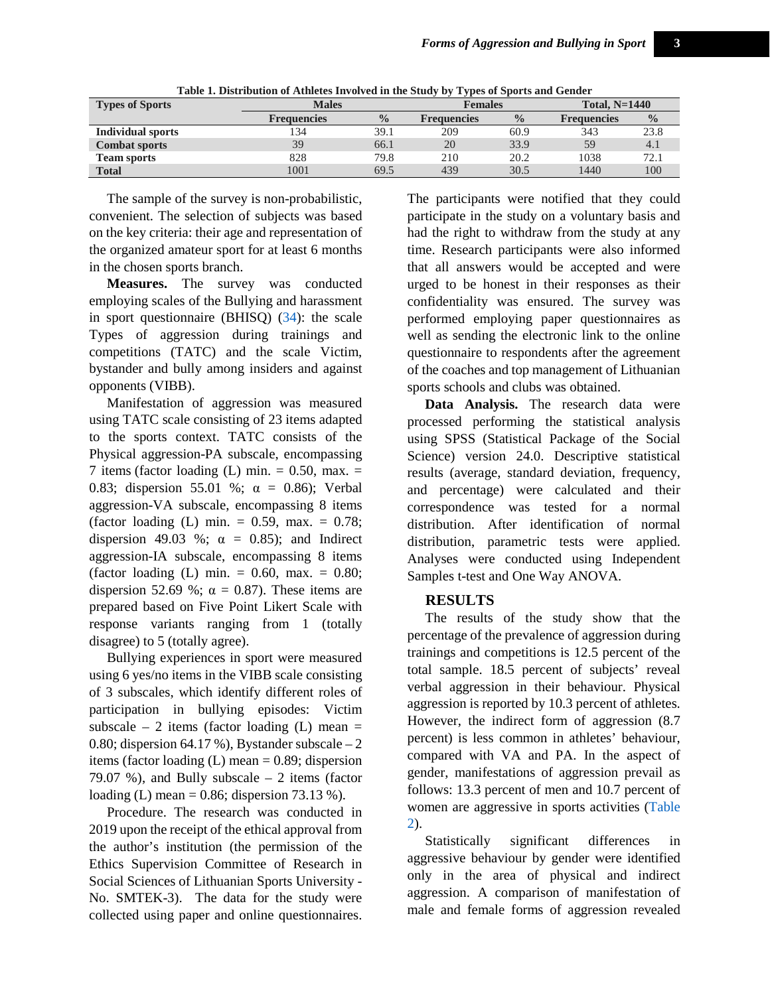<span id="page-2-0"></span>

| <b>Types of Sports</b>   | <b>Males</b>       | Females       |                    | Total, $N=1440$ |                    |               |
|--------------------------|--------------------|---------------|--------------------|-----------------|--------------------|---------------|
|                          | <b>Frequencies</b> | $\frac{0}{0}$ | <b>Frequencies</b> | $\frac{0}{0}$   | <b>Frequencies</b> | $\frac{0}{0}$ |
| <b>Individual sports</b> | 134                | 39.1          | 209                | 60.9            | 343                | 23.8          |
| <b>Combat sports</b>     | 39                 | 66.1          | 20                 | 33.9            | 59                 | 4.1           |
| <b>Team sports</b>       | 828                | 79.8          | 210                | 20.2            | 1038               | 72.1          |
| <b>Total</b>             | 1001               | 69.5          | 439                | 30.5            | 1440               | 100           |

**Table 1. Distribution of Athletes Involved in the Study by Types of Sports and Gender**

The sample of the survey is non-probabilistic, convenient. The selection of subjects was based on the key criteria: their age and representation of the organized amateur sport for at least 6 months in the chosen sports branch.

**Measures.** The survey was conducted employing scales of the Bullying and harassment in sport questionnaire (BHISQ) [\(34\)](#page-8-9): the scale Types of aggression during trainings and competitions (TATC) and the scale Victim, bystander and bully among insiders and against opponents (VIBB).

Manifestation of aggression was measured using TATC scale consisting of 23 items adapted to the sports context. TATC consists of the Physical aggression-PA subscale, encompassing 7 items (factor loading  $(L)$  min. = 0.50, max. = 0.83; dispersion 55.01 %;  $\alpha = 0.86$ ; Verbal aggression-VA subscale, encompassing 8 items (factor loading (L) min.  $= 0.59$ , max.  $= 0.78$ ; dispersion 49.03 %;  $\alpha = 0.85$ ; and Indirect aggression-IA subscale, encompassing 8 items (factor loading (L) min.  $= 0.60$ , max.  $= 0.80$ ; dispersion 52.69 %;  $\alpha = 0.87$ ). These items are prepared based on Five Point Likert Scale with response variants ranging from 1 (totally disagree) to 5 (totally agree).

Bullying experiences in sport were measured using 6 yes/no items in the VIBB scale consisting of 3 subscales, which identify different roles of participation in bullying episodes: Victim subscale – 2 items (factor loading  $(L)$  mean = 0.80; dispersion 64.17 %), Bystander subscale  $-2$ items (factor loading  $(L)$  mean = 0.89; dispersion 79.07 %), and Bully subscale – 2 items (factor loading (L) mean = 0.86; dispersion 73.13 %).

Procedure. The research was conducted in 2019 upon the receipt of the ethical approval from the author's institution (the permission of the Ethics Supervision Committee of Research in Social Sciences of Lithuanian Sports University - No. SMTEK-3). The data for the study were collected using paper and online questionnaires.

The participants were notified that they could participate in the study on a voluntary basis and had the right to withdraw from the study at any time. Research participants were also informed that all answers would be accepted and were urged to be honest in their responses as their confidentiality was ensured. The survey was performed employing paper questionnaires as well as sending the electronic link to the online questionnaire to respondents after the agreement of the coaches and top management of Lithuanian sports schools and clubs was obtained.

**Data Analysis.** The research data were processed performing the statistical analysis using SPSS (Statistical Package of the Social Science) version 24.0. Descriptive statistical results (average, standard deviation, frequency, and percentage) were calculated and their correspondence was tested for a normal distribution. After identification of normal distribution, parametric tests were applied. Analyses were conducted using Independent Samples t-test and One Way ANOVA.

# **RESULTS**

The results of the study show that the percentage of the prevalence of aggression during trainings and competitions is 12.5 percent of the total sample. 18.5 percent of subjects' reveal verbal aggression in their behaviour. Physical aggression is reported by 10.3 percent of athletes. However, the indirect form of aggression (8.7 percent) is less common in athletes' behaviour, compared with VA and PA. In the aspect of gender, manifestations of aggression prevail as follows: 13.3 percent of men and 10.7 percent of women are aggressive in sports activities [\(Table](#page-3-0)  [2\)](#page-3-0).

Statistically significant differences in aggressive behaviour by gender were identified only in the area of physical and indirect aggression. A comparison of manifestation of male and female forms of aggression revealed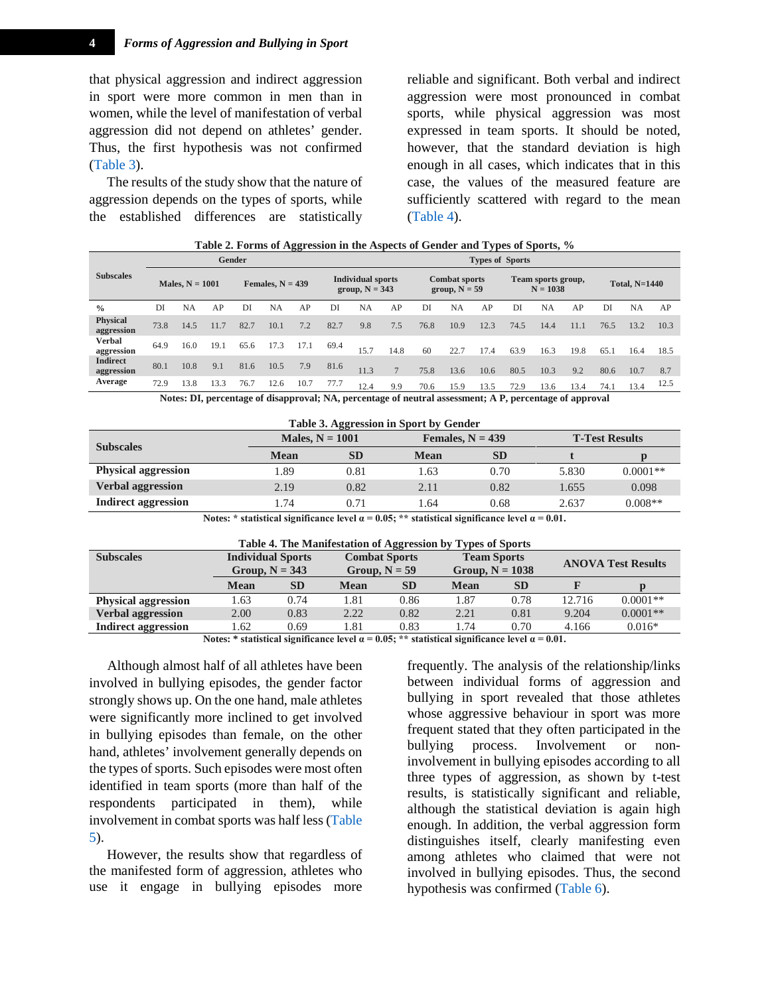that physical aggression and indirect aggression in sport were more common in men than in women, while the level of manifestation of verbal aggression did not depend on athletes' gender. Thus, the first hypothesis was not confirmed [\(Table 3\)](#page-3-1).

The results of the study show that the nature of aggression depends on the types of sports, while the established differences are statistically

reliable and significant. Both verbal and indirect aggression were most pronounced in combat sports, while physical aggression was most expressed in team sports. It should be noted, however, that the standard deviation is high enough in all cases, which indicates that in this case, the values of the measured feature are sufficiently scattered with regard to the mean [\(Table 4\)](#page-3-2).

<span id="page-3-0"></span>

|                               |                                                                                                     |      |      |                                              |      |                        | Table at 1 of the of rigglession in the respects of Genuer and Types of Sports, 70 |           |                                  |      |                      |      |      |           |      |      |           |      |
|-------------------------------|-----------------------------------------------------------------------------------------------------|------|------|----------------------------------------------|------|------------------------|------------------------------------------------------------------------------------|-----------|----------------------------------|------|----------------------|------|------|-----------|------|------|-----------|------|
|                               | <b>Gender</b>                                                                                       |      |      |                                              |      | <b>Types of Sports</b> |                                                                                    |           |                                  |      |                      |      |      |           |      |      |           |      |
| <b>Subscales</b>              | Males, $N = 1001$<br>Females, $N = 439$                                                             |      |      | <b>Individual sports</b><br>group, $N = 343$ |      |                        | <b>Combat sports</b><br>group, $N = 59$                                            |           | Team sports group,<br>$N = 1038$ |      | <b>Total, N=1440</b> |      |      |           |      |      |           |      |
| $\frac{0}{0}$                 | DI                                                                                                  | NA   | AP   | DI                                           | NA   | AP                     | DI                                                                                 | <b>NA</b> | AP                               | DI   | <b>NA</b>            | AP   | DI   | <b>NA</b> | AP   | DI   | <b>NA</b> | AP   |
| <b>Physical</b><br>aggression | 73.8                                                                                                | 14.5 | 11.7 | 82.7                                         | 10.1 | 7.2                    | 82.7                                                                               | 9.8       | 7.5                              | 76.8 | 10.9                 | 12.3 | 74.5 | 14.4      | 11.1 | 76.5 | 13.2      | 10.3 |
| Verbal<br>aggression          | 64.9                                                                                                | 16.0 | 19.1 | 65.6                                         | 17.3 | 17.1                   | 69.4                                                                               | 15.7      | 14.8                             | 60   | 22.7                 | 17.4 | 63.9 | 16.3      | 19.8 | 65.1 | 16.4      | 18.5 |
| <b>Indirect</b><br>aggression | 80.1                                                                                                | 10.8 | 9.1  | 81.6                                         | 10.5 | 7.9                    | 81.6                                                                               | 11.3      | $\overline{7}$                   | 75.8 | 13.6                 | 10.6 | 80.5 | 10.3      | 9.2  | 80.6 | 10.7      | 8.7  |
| Average                       | 72.9                                                                                                | 13.8 | 13.3 | 76.7                                         | 12.6 | 10.7                   | 77.7                                                                               | 12.4      | 9.9                              | 70.6 | 15.9                 | 13.5 | 72.9 | 13.6      | 13.4 | 74.1 | 13.4      | 12.5 |
|                               | Notes DI persentage of disapproval: NA persentage of pertual essessment: A D persentage of enpreval |      |      |                                              |      |                        |                                                                                    |           |                                  |      |                      |      |      |           |      |      |           |      |

|  |  | Table 2. Forms of Aggression in the Aspects of Gender and Types of Sports, % |
|--|--|------------------------------------------------------------------------------|
|  |  |                                                                              |

**Notes: DI, percentage of disapproval; NA, percentage of neutral assessment; A P, percentage of approval**

<span id="page-3-1"></span>

| Table 3. Aggression in Sport by Gender |                   |           |                    |           |                       |            |  |  |  |
|----------------------------------------|-------------------|-----------|--------------------|-----------|-----------------------|------------|--|--|--|
| <b>Subscales</b>                       | Males, $N = 1001$ |           | Females, $N = 439$ |           | <b>T-Test Results</b> |            |  |  |  |
|                                        | <b>Mean</b>       | <b>SD</b> | <b>Mean</b>        | <b>SD</b> |                       |            |  |  |  |
| <b>Physical aggression</b>             | 1.89              | 0.81      | 1.63               | 0.70      | 5.830                 | $0.0001**$ |  |  |  |
| <b>Verbal aggression</b>               | 2.19              | 0.82      | 2.11               | 0.82      | 1.655                 | 0.098      |  |  |  |
| Indirect aggression                    | 1.74              | 0.71      | 64. ا              | 0.68      | 2.637                 | $0.008**$  |  |  |  |

**Notes: \*** statistical significance level  $\alpha = 0.05$ ; **\*\*** statistical significance level  $\alpha = 0.01$ .

| Table 4. The Manifestation of Aggression by Types of Sports |  |  |
|-------------------------------------------------------------|--|--|
|                                                             |  |  |

<span id="page-3-2"></span>

| <b>Subscales</b>           |                                     | <b>Individual Sports</b><br>Group, $N = 343$ |      | <b>Combat Sports</b><br>Group, $N = 59$ |             | <b>Team Sports</b><br>Group, $N = 1038$ |                      | <b>ANOVA Test Results</b> |  |  |
|----------------------------|-------------------------------------|----------------------------------------------|------|-----------------------------------------|-------------|-----------------------------------------|----------------------|---------------------------|--|--|
|                            | <b>Mean</b>                         | <b>SD</b>                                    | Mean | <b>SD</b>                               | <b>Mean</b> | <b>SD</b>                               |                      |                           |  |  |
| <b>Physical aggression</b> | . 63                                | 0.74                                         | .81  | 0.86                                    | l.87        | 0.78                                    | 12.716               | $0.0001**$                |  |  |
| <b>Verbal aggression</b>   | 2.00                                | 0.83                                         | 2.22 | 0.82                                    | 2.21        | 0.81                                    | 9.204                | $0.0001**$                |  |  |
| <b>Indirect aggression</b> | .62                                 | 0.69                                         | .81  | 0.83                                    | l.74        | 0.70                                    | 4.166                | $0.016*$                  |  |  |
|                            | $-11$ $-11$ $-12$ $-13$<br>$\cdots$ | .0                                           |      |                                         | $\bullet$   |                                         | $\sim$ $\sim$ $\sim$ |                           |  |  |

Notes: \* statistical significance level  $\alpha = 0.05$ ; \*\* statistical significance level  $\alpha = 0.01$ .

Although almost half of all athletes have been involved in bullying episodes, the gender factor strongly shows up. On the one hand, male athletes were significantly more inclined to get involved in bullying episodes than female, on the other hand, athletes' involvement generally depends on the types of sports. Such episodes were most often identified in team sports (more than half of the respondents participated in them), while involvement in combat sports was half less [\(Table](#page-3-3)  [5\)](#page-3-3).

<span id="page-3-3"></span>However, the results show that regardless of the manifested form of aggression, athletes who use it engage in bullying episodes more

frequently. The analysis of the relationship/links between individual forms of aggression and bullying in sport revealed that those athletes whose aggressive behaviour in sport was more frequent stated that they often participated in the bullying process. Involvement or noninvolvement in bullying episodes according to all three types of aggression, as shown by t-test results, is statistically significant and reliable, although the statistical deviation is again high enough. In addition, the verbal aggression form distinguishes itself, clearly manifesting even among athletes who claimed that were not involved in bullying episodes. Thus, the second hypothesis was confirmed [\(Table 6\)](#page-4-0).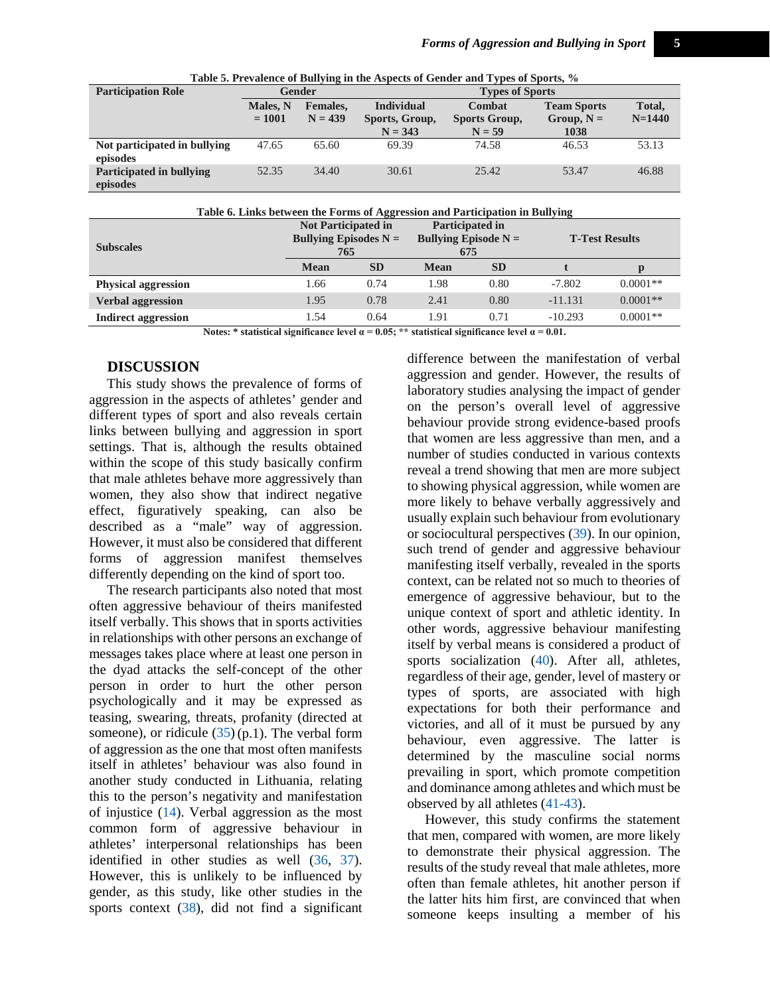|                                          |                                                      | $\overline{ }$ |                                                  | . .                                 |                                            |                    |  |  |  |
|------------------------------------------|------------------------------------------------------|----------------|--------------------------------------------------|-------------------------------------|--------------------------------------------|--------------------|--|--|--|
| <b>Participation Role</b>                |                                                      | Gender         | <b>Types of Sports</b>                           |                                     |                                            |                    |  |  |  |
|                                          | Males, N<br><b>Females.</b><br>$= 1001$<br>$N = 439$ |                | <b>Individual</b><br>Sports, Group,<br>$N = 343$ | Combat<br>Sports Group,<br>$N = 59$ | <b>Team Sports</b><br>$Group, N =$<br>1038 | Total,<br>$N=1440$ |  |  |  |
| Not participated in bullying<br>episodes | 47.65                                                | 65.60          | 69.39                                            | 74.58                               | 46.53                                      | 53.13              |  |  |  |
| Participated in bullying<br>episodes     | 52.35                                                | 34.40          | 30.61                                            | 25.42                               | 53.47                                      | 46.88              |  |  |  |

**Table 5. Prevalence of Bullying in the Aspects of Gender and Types of Sports, %**

| Table 6. Links between the Forms of Aggression and Participation in Bullying |
|------------------------------------------------------------------------------|
|------------------------------------------------------------------------------|

<span id="page-4-0"></span>

| <b>Subscales</b>           | <b>Not Participated in</b><br>Bullying Episodes $N =$<br>765 |           | Participated in<br>Bullying Episode $N =$<br>675 |           | <b>T-Test Results</b> |            |  |
|----------------------------|--------------------------------------------------------------|-----------|--------------------------------------------------|-----------|-----------------------|------------|--|
|                            | <b>Mean</b>                                                  | <b>SD</b> | <b>Mean</b>                                      | <b>SD</b> |                       | D          |  |
| <b>Physical aggression</b> | 1.66                                                         | 0.74      | 1.98                                             | 0.80      | $-7.802$              | $0.0001**$ |  |
| <b>Verbal aggression</b>   | 1.95                                                         | 0.78      | 2.41                                             | 0.80      | $-11.131$             | $0.0001**$ |  |
| Indirect aggression        | 1.54                                                         | 0.64      | 1.91                                             | 0.71      | $-10.293$             | $0.0001**$ |  |

Notes: \* statistical significance level  $\alpha = 0.05$ ; \*\* statistical significance level  $\alpha = 0.01$ .

#### **DISCUSSION**

This study shows the prevalence of forms of aggression in the aspects of athletes' gender and different types of sport and also reveals certain links between bullying and aggression in sport settings. That is, although the results obtained within the scope of this study basically confirm that male athletes behave more aggressively than women, they also show that indirect negative effect, figuratively speaking, can also be described as a "male" way of aggression. However, it must also be considered that different forms of aggression manifest themselves differently depending on the kind of sport too.

The research participants also noted that most often aggressive behaviour of theirs manifested itself verbally. This shows that in sports activities in relationships with other persons an exchange of messages takes place where at least one person in the dyad attacks the self-concept of the other person in order to hurt the other person psychologically and it may be expressed as teasing, swearing, threats, profanity (directed at someone), or ridicule  $(35)$  (p.1). The verbal form of aggression as the one that most often manifests itself in athletes' behaviour was also found in another study conducted in Lithuania, relating this to the person's negativity and manifestation of injustice [\(14\)](#page-7-9). Verbal aggression as the most common form of aggressive behaviour in athletes' interpersonal relationships has been identified in other studies as well [\(36,](#page-8-11) [37\)](#page-8-12). However, this is unlikely to be influenced by gender, as this study, like other studies in the sports context [\(38\)](#page-8-13), did not find a significant

difference between the manifestation of verbal aggression and gender. However, the results of laboratory studies analysing the impact of gender on the person's overall level of aggressive behaviour provide strong evidence-based proofs that women are less aggressive than men, and a number of studies conducted in various contexts reveal a trend showing that men are more subject to showing physical aggression, while women are more likely to behave verbally aggressively and usually explain such behaviour from evolutionary or sociocultural perspectives [\(39\)](#page-8-14). In our opinion, such trend of gender and aggressive behaviour manifesting itself verbally, revealed in the sports context, can be related not so much to theories of emergence of aggressive behaviour, but to the unique context of sport and athletic identity. In other words, aggressive behaviour manifesting itself by verbal means is considered a product of sports socialization [\(40\)](#page-8-15). After all, athletes, regardless of their age, gender, level of mastery or types of sports, are associated with high expectations for both their performance and victories, and all of it must be pursued by any behaviour, even aggressive. The latter is determined by the masculine social norms prevailing in sport, which promote competition and dominance among athletes and which must be observed by all athletes [\(41-43\)](#page-8-16).

However, this study confirms the statement that men, compared with women, are more likely to demonstrate their physical aggression. The results of the study reveal that male athletes, more often than female athletes, hit another person if the latter hits him first, are convinced that when someone keeps insulting a member of his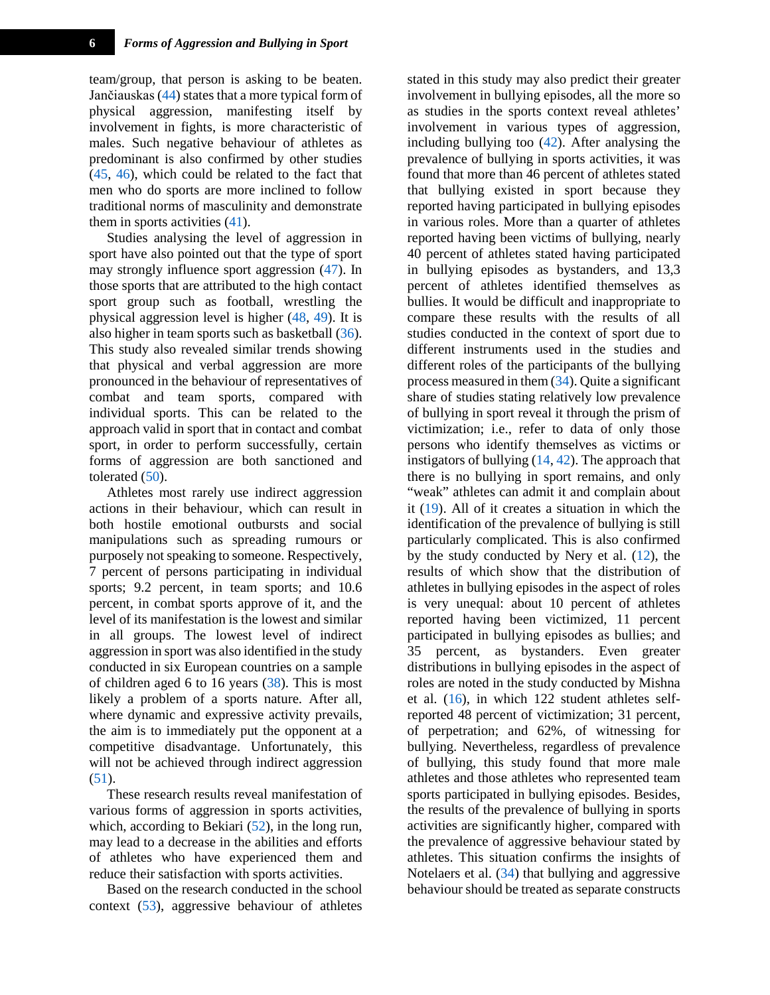team/group, that person is asking to be beaten. Jančiauskas [\(44\)](#page-9-0) states that a more typical form of physical aggression, manifesting itself by involvement in fights, is more characteristic of males. Such negative behaviour of athletes as predominant is also confirmed by other studies [\(45,](#page-9-1) [46\)](#page-9-2), which could be related to the fact that men who do sports are more inclined to follow traditional norms of masculinity and demonstrate them in sports activities [\(41\)](#page-8-16).

Studies analysing the level of aggression in sport have also pointed out that the type of sport may strongly influence sport aggression [\(47\)](#page-9-3). In those sports that are attributed to the high contact sport group such as football, wrestling the physical aggression level is higher [\(48,](#page-9-4) [49\)](#page-9-5). It is also higher in team sports such as basketball [\(36\)](#page-8-11). This study also revealed similar trends showing that physical and verbal aggression are more pronounced in the behaviour of representatives of combat and team sports, compared with individual sports. This can be related to the approach valid in sport that in contact and combat sport, in order to perform successfully, certain forms of aggression are both sanctioned and tolerated [\(50\)](#page-9-6).

Athletes most rarely use indirect aggression actions in their behaviour, which can result in both hostile emotional outbursts and social manipulations such as spreading rumours or purposely not speaking to someone. Respectively, 7 percent of persons participating in individual sports; 9.2 percent, in team sports; and 10.6 percent, in combat sports approve of it, and the level of its manifestation is the lowest and similar in all groups. The lowest level of indirect aggression in sport was also identified in the study conducted in six European countries on a sample of children aged 6 to 16 years [\(38\)](#page-8-13). This is most likely a problem of a sports nature. After all, where dynamic and expressive activity prevails, the aim is to immediately put the opponent at a competitive disadvantage. Unfortunately, this will not be achieved through indirect aggression [\(51\)](#page-9-7).

These research results reveal manifestation of various forms of aggression in sports activities, which, according to Bekiari  $(52)$ , in the long run, may lead to a decrease in the abilities and efforts of athletes who have experienced them and reduce their satisfaction with sports activities.

Based on the research conducted in the school context [\(53\)](#page-9-9), aggressive behaviour of athletes stated in this study may also predict their greater involvement in bullying episodes, all the more so as studies in the sports context reveal athletes' involvement in various types of aggression, including bullying too [\(42\)](#page-8-17). After analysing the prevalence of bullying in sports activities, it was found that more than 46 percent of athletes stated that bullying existed in sport because they reported having participated in bullying episodes in various roles. More than a quarter of athletes reported having been victims of bullying, nearly 40 percent of athletes stated having participated in bullying episodes as bystanders, and 13,3 percent of athletes identified themselves as bullies. It would be difficult and inappropriate to compare these results with the results of all studies conducted in the context of sport due to different instruments used in the studies and different roles of the participants of the bullying process measured in them [\(34\)](#page-8-9). Quite a significant share of studies stating relatively low prevalence of bullying in sport reveal it through the prism of victimization; i.e., refer to data of only those persons who identify themselves as victims or instigators of bullying  $(14, 42)$  $(14, 42)$ . The approach that there is no bullying in sport remains, and only "weak" athletes can admit it and complain about it [\(19\)](#page-7-14). All of it creates a situation in which the identification of the prevalence of bullying is still particularly complicated. This is also confirmed by the study conducted by Nery et al.  $(12)$ , the results of which show that the distribution of athletes in bullying episodes in the aspect of roles is very unequal: about 10 percent of athletes reported having been victimized, 11 percent participated in bullying episodes as bullies; and 35 percent, as bystanders. Even greater distributions in bullying episodes in the aspect of roles are noted in the study conducted by Mishna et al. [\(16\)](#page-7-15), in which 122 student athletes selfreported 48 percent of victimization; 31 percent, of perpetration; and 62%, of witnessing for bullying. Nevertheless, regardless of prevalence of bullying, this study found that more male athletes and those athletes who represented team sports participated in bullying episodes. Besides, the results of the prevalence of bullying in sports activities are significantly higher, compared with the prevalence of aggressive behaviour stated by athletes. This situation confirms the insights of Notelaers et al. [\(34\)](#page-8-9) that bullying and aggressive behaviour should be treated as separate constructs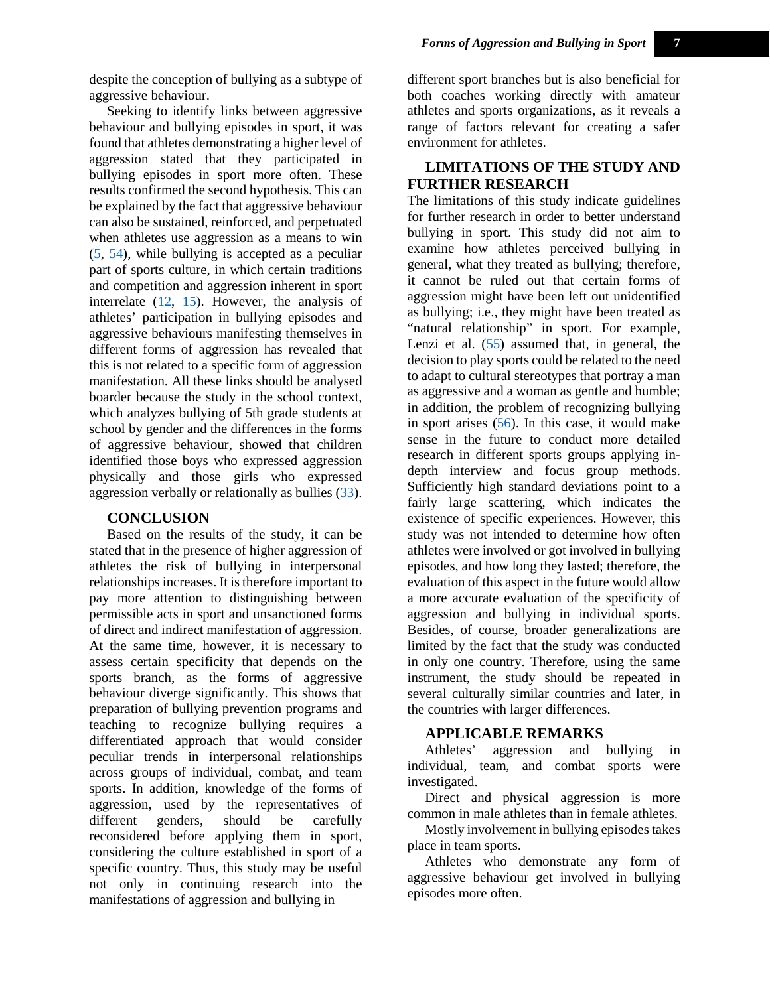despite the conception of bullying as a subtype of aggressive behaviour.

Seeking to identify links between aggressive behaviour and bullying episodes in sport, it was found that athletes demonstrating a higher level of aggression stated that they participated in bullying episodes in sport more often. These results confirmed the second hypothesis. This can be explained by the fact that aggressive behaviour can also be sustained, reinforced, and perpetuated when athletes use aggression as a means to win [\(5,](#page-7-1) [54\)](#page-9-10), while bullying is accepted as a peculiar part of sports culture, in which certain traditions and competition and aggression inherent in sport interrelate [\(12,](#page-7-7) [15\)](#page-7-13). However, the analysis of athletes' participation in bullying episodes and aggressive behaviours manifesting themselves in different forms of aggression has revealed that this is not related to a specific form of aggression manifestation. All these links should be analysed boarder because the study in the school context, which analyzes bullying of 5th grade students at school by gender and the differences in the forms of aggressive behaviour, showed that children identified those boys who expressed aggression physically and those girls who expressed aggression verbally or relationally as bullies [\(33\)](#page-8-18).

#### **CONCLUSION**

Based on the results of the study, it can be stated that in the presence of higher aggression of athletes the risk of bullying in interpersonal relationships increases. It is therefore important to pay more attention to distinguishing between permissible acts in sport and unsanctioned forms of direct and indirect manifestation of aggression. At the same time, however, it is necessary to assess certain specificity that depends on the sports branch, as the forms of aggressive behaviour diverge significantly. This shows that preparation of bullying prevention programs and teaching to recognize bullying requires a differentiated approach that would consider peculiar trends in interpersonal relationships across groups of individual, combat, and team sports. In addition, knowledge of the forms of aggression, used by the representatives of different genders, should be carefully reconsidered before applying them in sport, considering the culture established in sport of a specific country. Thus, this study may be useful not only in continuing research into the manifestations of aggression and bullying in

different sport branches but is also beneficial for both coaches working directly with amateur athletes and sports organizations, as it reveals a range of factors relevant for creating a safer environment for athletes.

# **LIMITATIONS OF THE STUDY AND FURTHER RESEARCH**

The limitations of this study indicate guidelines for further research in order to better understand bullying in sport. This study did not aim to examine how athletes perceived bullying in general, what they treated as bullying; therefore, it cannot be ruled out that certain forms of aggression might have been left out unidentified as bullying; i.e., they might have been treated as "natural relationship" in sport. For example, Lenzi et al. [\(55\)](#page-9-11) assumed that, in general, the decision to play sports could be related to the need to adapt to cultural stereotypes that portray a man as aggressive and a woman as gentle and humble; in addition, the problem of recognizing bullying in sport arises [\(56\)](#page-9-12). In this case, it would make sense in the future to conduct more detailed research in different sports groups applying indepth interview and focus group methods. Sufficiently high standard deviations point to a fairly large scattering, which indicates the existence of specific experiences. However, this study was not intended to determine how often athletes were involved or got involved in bullying episodes, and how long they lasted; therefore, the evaluation of this aspect in the future would allow a more accurate evaluation of the specificity of aggression and bullying in individual sports. Besides, of course, broader generalizations are limited by the fact that the study was conducted in only one country. Therefore, using the same instrument, the study should be repeated in several culturally similar countries and later, in the countries with larger differences.

#### **APPLICABLE REMARKS**

Athletes' aggression and bullying in individual, team, and combat sports were investigated.

Direct and physical aggression is more common in male athletes than in female athletes.

Mostly involvement in bullying episodes takes place in team sports.

Athletes who demonstrate any form of aggressive behaviour get involved in bullying episodes more often.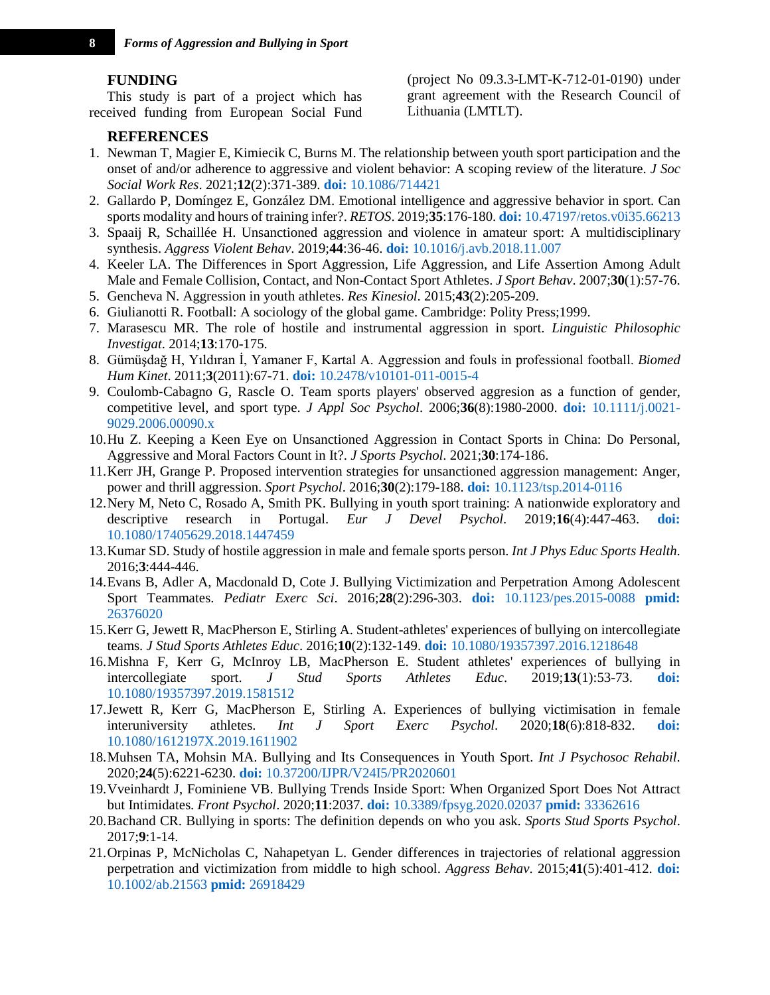# **FUNDING**

This study is part of a project which has received funding from European Social Fund

#### **REFERENCES**

(project No 09.3.3-LMT-K-712-01-0190) under grant agreement with the Research Council of Lithuania (LMTLT).

- <span id="page-7-0"></span>1. Newman T, Magier E, Kimiecik C, Burns M. The relationship between youth sport participation and the onset of and/or adherence to aggressive and violent behavior: A scoping review of the literature. *J Soc Social Work Res*. 2021;**12**(2):371-389. **doi:** [10.1086/714421](http://dx.doi.org/10.1086/714421)
- 2. Gallardo P, Domíngez E, González DM. Emotional intelligence and aggressive behavior in sport. Can sports modality and hours of training infer?. *RETOS*. 2019;**35**:176-180. **doi:** [10.47197/retos.v0i35.66213](http://dx.doi.org/10.47197/retos.v0i35.66213)
- <span id="page-7-4"></span>3. Spaaij R, Schaillée H. Unsanctioned aggression and violence in amateur sport: A multidisciplinary synthesis. *Aggress Violent Behav*. 2019;**44**:36-46. **doi:** [10.1016/j.avb.2018.11.007](http://dx.doi.org/10.1016/j.avb.2018.11.007)
- 4. Keeler LA. The Differences in Sport Aggression, Life Aggression, and Life Assertion Among Adult Male and Female Collision, Contact, and Non-Contact Sport Athletes. *J Sport Behav*. 2007;**30**(1):57-76.
- <span id="page-7-1"></span>5. Gencheva N. Aggression in youth athletes. *Res Kinesiol*. 2015;**43**(2):205-209.
- <span id="page-7-2"></span>6. Giulianotti R. Football: A sociology of the global game. Cambridge: Polity Press;1999.
- <span id="page-7-3"></span>7. Marasescu MR. The role of hostile and instrumental aggression in sport. *Linguistic Philosophic Investigat*. 2014;**13**:170-175.
- 8. Gümüşdağ H, Yıldıran İ, Yamaner F, Kartal A. Aggression and fouls in professional football. *Biomed Hum Kinet*. 2011;**3**(2011):67-71. **doi:** [10.2478/v10101-011-0015-4](http://dx.doi.org/10.2478/v10101-011-0015-4)
- 9. Coulomb‐Cabagno G, Rascle O. Team sports players' observed aggresion as a function of gender, competitive level, and sport type. *J Appl Soc Psychol*. 2006;**36**(8):1980-2000. **doi:** [10.1111/j.0021-](http://dx.doi.org/10.1111/j.0021-9029.2006.00090.x) [9029.2006.00090.x](http://dx.doi.org/10.1111/j.0021-9029.2006.00090.x)
- <span id="page-7-5"></span>10.Hu Z. Keeping a Keen Eye on Unsanctioned Aggression in Contact Sports in China: Do Personal, Aggressive and Moral Factors Count in It?. *J Sports Psychol*. 2021;**30**:174-186.
- <span id="page-7-6"></span>11.Kerr JH, Grange P. Proposed intervention strategies for unsanctioned aggression management: Anger, power and thrill aggression. *Sport Psychol*. 2016;**30**(2):179-188. **doi:** [10.1123/tsp.2014-0116](http://dx.doi.org/10.1123/tsp.2014-0116)
- <span id="page-7-7"></span>12.Nery M, Neto C, Rosado A, Smith PK. Bullying in youth sport training: A nationwide exploratory and descriptive research in Portugal. *Eur J Devel Psychol*. 2019;**16**(4):447-463. **[doi:](http://dx.doi.org/10.1080/17405629.2018.1447459)**  [10.1080/17405629.2018.1447459](http://dx.doi.org/10.1080/17405629.2018.1447459)
- <span id="page-7-8"></span>13.Kumar SD. Study of hostile aggression in male and female sports person. *Int J Phys Educ Sports Health*. 2016;**3**:444-446.
- <span id="page-7-9"></span>14.Evans B, Adler A, Macdonald D, Cote J. Bullying Victimization and Perpetration Among Adolescent Sport Teammates. *Pediatr Exerc Sci*. 2016;**28**(2):296-303. **doi:** [10.1123/pes.2015-0088](http://dx.doi.org/10.1123/pes.2015-0088) **[pmid:](http://ncbi.nlm.nih.gov/pubmed/26376020)**  [26376020](http://ncbi.nlm.nih.gov/pubmed/26376020)
- <span id="page-7-13"></span>15.Kerr G, Jewett R, MacPherson E, Stirling A. Student-athletes' experiences of bullying on intercollegiate teams. *J Stud Sports Athletes Educ*. 2016;**10**(2):132-149. **doi:** [10.1080/19357397.2016.1218648](http://dx.doi.org/10.1080/19357397.2016.1218648)
- <span id="page-7-15"></span>16.Mishna F, Kerr G, McInroy LB, MacPherson E. Student athletes' experiences of bullying in intercollegiate sport. *J Stud Sports Athletes Educ*. 2019;**13**(1):53-73. **[doi:](http://dx.doi.org/10.1080/19357397.2019.1581512)**  [10.1080/19357397.2019.1581512](http://dx.doi.org/10.1080/19357397.2019.1581512)
- 17.Jewett R, Kerr G, MacPherson E, Stirling A. Experiences of bullying victimisation in female interuniversity athletes. *Int J Sport Exerc Psychol*. 2020;**18**(6):818-832. **[doi:](http://dx.doi.org/10.1080/1612197X.2019.1611902)**  [10.1080/1612197X.2019.1611902](http://dx.doi.org/10.1080/1612197X.2019.1611902)
- <span id="page-7-11"></span>18.Muhsen TA, Mohsin MA. Bullying and Its Consequences in Youth Sport. *Int J Psychosoc Rehabil*. 2020;**24**(5):6221-6230. **doi:** [10.37200/IJPR/V24I5/PR2020601](http://dx.doi.org/10.37200/IJPR/V24I5/PR2020601)
- <span id="page-7-14"></span>19.Vveinhardt J, Fominiene VB. Bullying Trends Inside Sport: When Organized Sport Does Not Attract but Intimidates. *Front Psychol*. 2020;**11**:2037. **doi:** [10.3389/fpsyg.2020.02037](http://dx.doi.org/10.3389/fpsyg.2020.02037) **pmid:** [33362616](http://ncbi.nlm.nih.gov/pubmed/33362616)
- <span id="page-7-10"></span>20.Bachand CR. Bullying in sports: The definition depends on who you ask. *Sports Stud Sports Psychol*. 2017;**9**:1-14.
- <span id="page-7-12"></span>21.Orpinas P, McNicholas C, Nahapetyan L. Gender differences in trajectories of relational aggression perpetration and victimization from middle to high school. *Aggress Behav*. 2015;**41**(5):401-412. **[doi:](http://dx.doi.org/10.1002/ab.21563)**  [10.1002/ab.21563](http://dx.doi.org/10.1002/ab.21563) **pmid:** [26918429](http://ncbi.nlm.nih.gov/pubmed/26918429)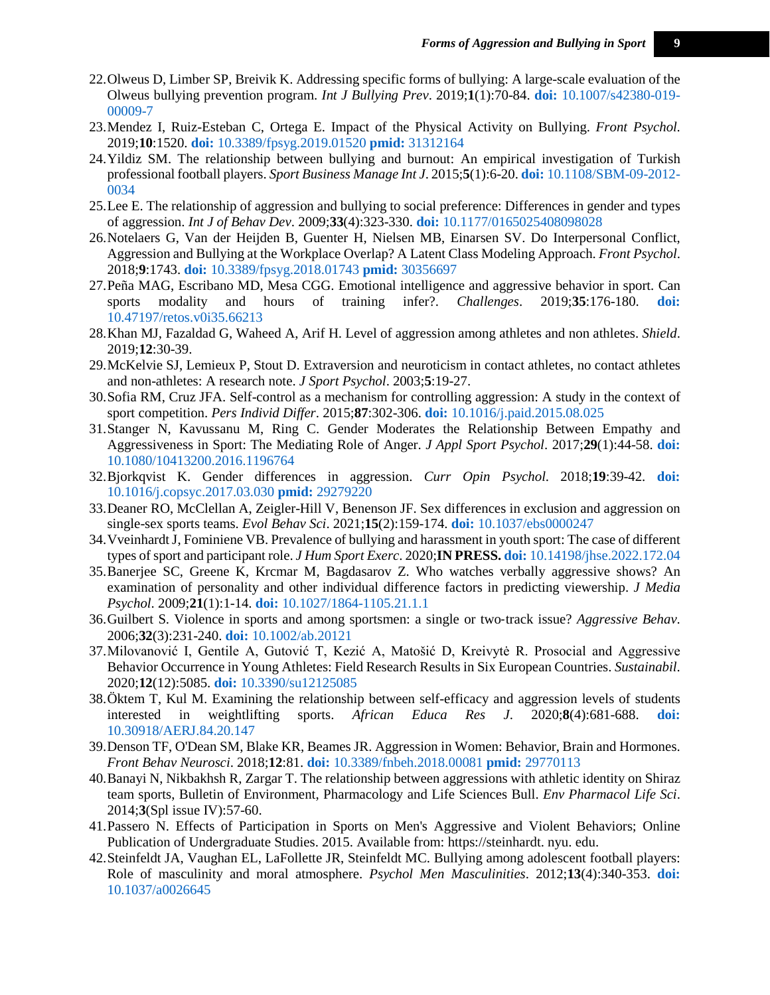- <span id="page-8-0"></span>22.Olweus D, Limber SP, Breivik K. Addressing specific forms of bullying: A large-scale evaluation of the Olweus bullying prevention program. *Int J Bullying Prev*. 2019;**1**(1):70-84. **doi:** [10.1007/s42380-019-](http://dx.doi.org/10.1007/s42380-019-00009-7) [00009-7](http://dx.doi.org/10.1007/s42380-019-00009-7)
- <span id="page-8-1"></span>23.Mendez I, Ruiz-Esteban C, Ortega E. Impact of the Physical Activity on Bullying. *Front Psychol*. 2019;**10**:1520. **doi:** [10.3389/fpsyg.2019.01520](http://dx.doi.org/10.3389/fpsyg.2019.01520) **pmid:** [31312164](http://ncbi.nlm.nih.gov/pubmed/31312164)
- <span id="page-8-2"></span>24.Yildiz SM. The relationship between bullying and burnout: An empirical investigation of Turkish professional football players. *Sport Business Manage Int J*. 2015;**5**(1):6-20. **doi:** [10.1108/SBM-09-2012-](http://dx.doi.org/10.1108/SBM-09-2012-0034) [0034](http://dx.doi.org/10.1108/SBM-09-2012-0034)
- <span id="page-8-3"></span>25.Lee E. The relationship of aggression and bullying to social preference: Differences in gender and types of aggression. *Int J of Behav Dev*. 2009;**33**(4):323-330. **doi:** [10.1177/0165025408098028](http://dx.doi.org/10.1177/0165025408098028)
- <span id="page-8-4"></span>26.Notelaers G, Van der Heijden B, Guenter H, Nielsen MB, Einarsen SV. Do Interpersonal Conflict, Aggression and Bullying at the Workplace Overlap? A Latent Class Modeling Approach. *Front Psychol*. 2018;**9**:1743. **doi:** [10.3389/fpsyg.2018.01743](http://dx.doi.org/10.3389/fpsyg.2018.01743) **pmid:** [30356697](http://ncbi.nlm.nih.gov/pubmed/30356697)
- <span id="page-8-5"></span>27.Peña MAG, Escribano MD, Mesa CGG. Emotional intelligence and aggressive behavior in sport. Can sports modality and hours of training infer?. *Challenges*. 2019;**35**:176-180. **[doi:](http://dx.doi.org/10.47197/retos.v0i35.66213)**  [10.47197/retos.v0i35.66213](http://dx.doi.org/10.47197/retos.v0i35.66213)
- <span id="page-8-6"></span>28.Khan MJ, Fazaldad G, Waheed A, Arif H. Level of aggression among athletes and non athletes. *Shield*. 2019;**12**:30-39.
- <span id="page-8-7"></span>29.McKelvie SJ, Lemieux P, Stout D. Extraversion and neuroticism in contact athletes, no contact athletes and non-athletes: A research note. *J Sport Psychol*. 2003;**5**:19-27.
- <span id="page-8-8"></span>30.Sofia RM, Cruz JFA. Self-control as a mechanism for controlling aggression: A study in the context of sport competition. *Pers Individ Differ*. 2015;**87**:302-306. **doi:** [10.1016/j.paid.2015.08.025](http://dx.doi.org/10.1016/j.paid.2015.08.025)
- 31.Stanger N, Kavussanu M, Ring C. Gender Moderates the Relationship Between Empathy and Aggressiveness in Sport: The Mediating Role of Anger. *J Appl Sport Psychol*. 2017;**29**(1):44-58. **[doi:](http://dx.doi.org/10.1080/10413200.2016.1196764)**  [10.1080/10413200.2016.1196764](http://dx.doi.org/10.1080/10413200.2016.1196764)
- 32.Bjorkqvist K. Gender differences in aggression. *Curr Opin Psychol*. 2018;**19**:39-42. **[doi:](http://dx.doi.org/10.1016/j.copsyc.2017.03.030)**  [10.1016/j.copsyc.2017.03.030](http://dx.doi.org/10.1016/j.copsyc.2017.03.030) **pmid:** [29279220](http://ncbi.nlm.nih.gov/pubmed/29279220)
- <span id="page-8-18"></span>33.Deaner RO, McClellan A, Zeigler-Hill V, Benenson JF. Sex differences in exclusion and aggression on single-sex sports teams. *Evol Behav Sci*. 2021;**15**(2):159-174. **doi:** [10.1037/ebs0000247](http://dx.doi.org/10.1037/ebs0000247)
- <span id="page-8-9"></span>34.Vveinhardt J, Fominiene VB. Prevalence of bullying and harassment in youth sport: The case of different types of sport and participant role. *J Hum Sport Exerc*. 2020;**IN PRESS. doi:** [10.14198/jhse.2022.172.04](http://dx.doi.org/10.14198/jhse.2022.172.04)
- <span id="page-8-10"></span>35.Banerjee SC, Greene K, Krcmar M, Bagdasarov Z. Who watches verbally aggressive shows? An examination of personality and other individual difference factors in predicting viewership. *J Media Psychol*. 2009;**21**(1):1-14. **doi:** [10.1027/1864-1105.21.1.1](http://dx.doi.org/10.1027/1864-1105.21.1.1)
- <span id="page-8-11"></span>36.Guilbert S. Violence in sports and among sportsmen: a single or two‐track issue? *Aggressive Behav*. 2006;**32**(3):231-240. **doi:** [10.1002/ab.20121](http://dx.doi.org/10.1002/ab.20121)
- <span id="page-8-12"></span>37.Milovanović I, Gentile A, Gutović T, Kezić A, Matošić D, Kreivytė R. Prosocial and Aggressive Behavior Occurrence in Young Athletes: Field Research Results in Six European Countries. *Sustainabil*. 2020;**12**(12):5085. **doi:** [10.3390/su12125085](http://dx.doi.org/10.3390/su12125085)
- <span id="page-8-13"></span>38.Öktem T, Kul M. Examining the relationship between self-efficacy and aggression levels of students interested in weightlifting sports. *African Educa Res J*. 2020;**8**(4):681-688. **[doi:](http://dx.doi.org/10.30918/AERJ.84.20.147)**  [10.30918/AERJ.84.20.147](http://dx.doi.org/10.30918/AERJ.84.20.147)
- <span id="page-8-14"></span>39.Denson TF, O'Dean SM, Blake KR, Beames JR. Aggression in Women: Behavior, Brain and Hormones. *Front Behav Neurosci*. 2018;**12**:81. **doi:** [10.3389/fnbeh.2018.00081](http://dx.doi.org/10.3389/fnbeh.2018.00081) **pmid:** [29770113](http://ncbi.nlm.nih.gov/pubmed/29770113)
- <span id="page-8-15"></span>40.Banayi N, Nikbakhsh R, Zargar T. The relationship between aggressions with athletic identity on Shiraz team sports, Bulletin of Environment, Pharmacology and Life Sciences Bull. *Env Pharmacol Life Sci*. 2014;**3**(Spl issue IV):57-60.
- <span id="page-8-16"></span>41.Passero N. Effects of Participation in Sports on Men's Aggressive and Violent Behaviors; Online Publication of Undergraduate Studies. 2015. Available from: https://steinhardt. nyu. edu.
- <span id="page-8-17"></span>42.Steinfeldt JA, Vaughan EL, LaFollette JR, Steinfeldt MC. Bullying among adolescent football players: Role of masculinity and moral atmosphere. *Psychol Men Masculinities*. 2012;**13**(4):340-353. **[doi:](http://dx.doi.org/10.1037/a0026645)**  [10.1037/a0026645](http://dx.doi.org/10.1037/a0026645)